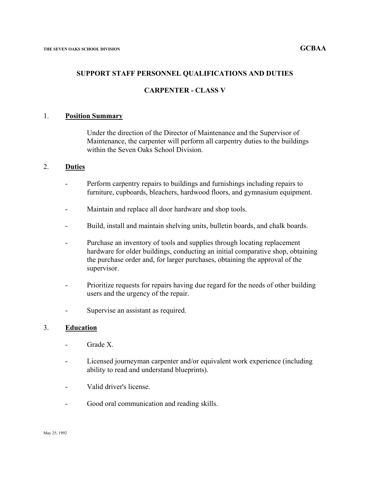#### **SUPPORT STAFF PERSONNEL QUALIFICATIONS AND DUTIES**

### **CARPENTER - CLASS V**

#### 1. **Position Summary**

Under the direction of the Director of Maintenance and the Supervisor of Maintenance, the carpenter will perform all carpentry duties to the buildings within the Seven Oaks School Division.

### 2. **Duties**

- Perform carpentry repairs to buildings and furnishings including repairs to furniture, cupboards, bleachers, hardwood floors, and gymnasium equipment.
- Maintain and replace all door hardware and shop tools.
- Build, install and maintain shelving units, bulletin boards, and chalk boards.
- Purchase an inventory of tools and supplies through locating replacement hardware for older buildings, conducting an initial comparative shop, obtaining the purchase order and, for larger purchases, obtaining the approval of the supervisor.
- Prioritize requests for repairs having due regard for the needs of other building users and the urgency of the repair.
- Supervise an assistant as required.

#### 3. **Education**

- Grade X.
- Licensed journeyman carpenter and/or equivalent work experience (including ability to read and understand blueprints).
- Valid driver's license.
- Good oral communication and reading skills.